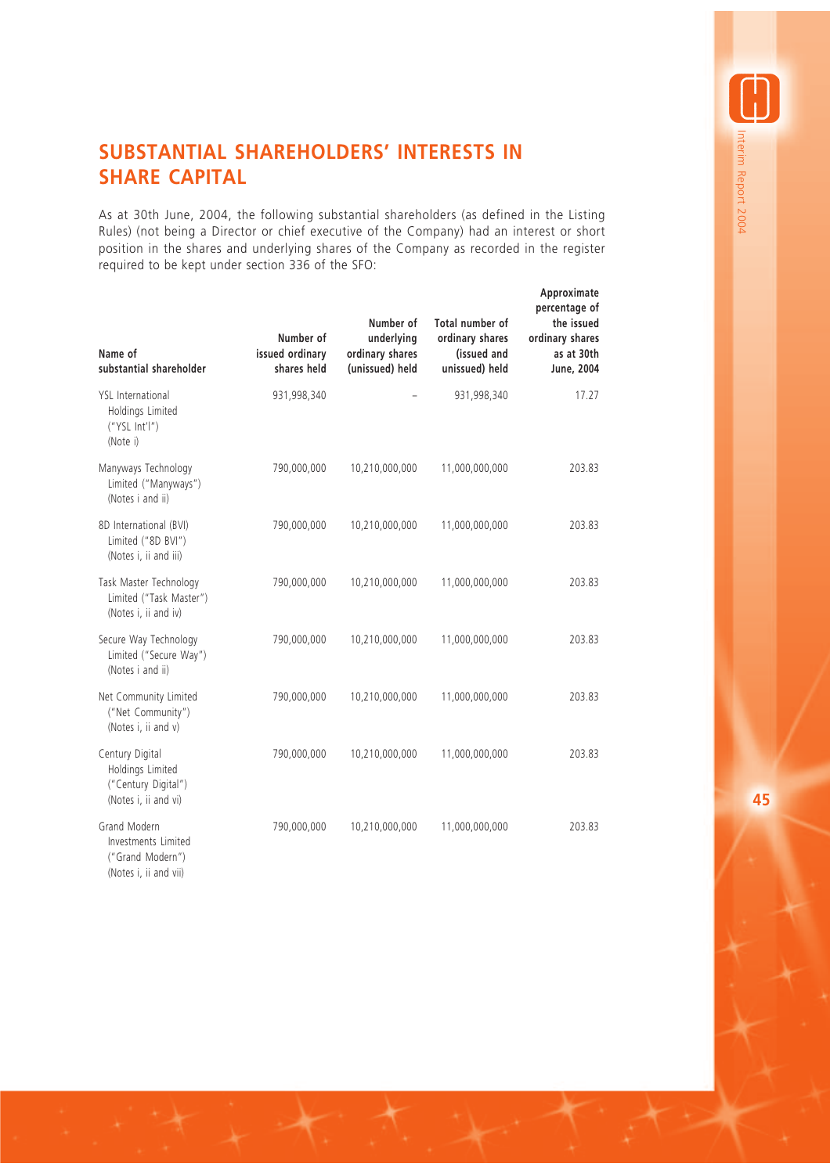## **SUBSTANTIAL SHAREHOLDERS' INTERESTS IN SHARE CAPITAL**

As at 30th June, 2004, the following substantial shareholders (as defined in the Listing Rules) (not being a Director or chief executive of the Company) had an interest or short position in the shares and underlying shares of the Company as recorded in the register required to be kept under section 336 of the SFO:

| Name of<br>substantial shareholder                                                 | Number of<br>issued ordinary<br>shares held | Number of<br>underlying<br>ordinary shares<br>(unissued) held | Total number of<br>ordinary shares<br>(issued and<br>unissued) held | Approximate<br>percentage of<br>the issued<br>ordinary shares<br>as at 30th<br>June, 2004 |
|------------------------------------------------------------------------------------|---------------------------------------------|---------------------------------------------------------------|---------------------------------------------------------------------|-------------------------------------------------------------------------------------------|
| <b>YSL</b> International<br>Holdings Limited<br>('YSL Int'I")<br>(Note i)          | 931,998,340                                 |                                                               | 931,998,340                                                         | 17.27                                                                                     |
| Manyways Technology<br>Limited ("Manyways")<br>(Notes i and ii)                    | 790,000,000                                 | 10,210,000,000                                                | 11,000,000,000                                                      | 203.83                                                                                    |
| 8D International (BVI)<br>Limited ("8D BVI")<br>(Notes i, ii and iii)              | 790,000,000                                 | 10,210,000,000                                                | 11,000,000,000                                                      | 203.83                                                                                    |
| Task Master Technology<br>Limited ("Task Master")<br>(Notes i, ii and iv)          | 790,000,000                                 | 10,210,000,000                                                | 11,000,000,000                                                      | 203.83                                                                                    |
| Secure Way Technology<br>Limited ("Secure Way")<br>(Notes i and ii)                | 790,000,000                                 | 10,210,000,000                                                | 11,000,000,000                                                      | 203.83                                                                                    |
| Net Community Limited<br>("Net Community")<br>(Notes i, ii and v)                  | 790,000,000                                 | 10,210,000,000                                                | 11,000,000,000                                                      | 203.83                                                                                    |
| Century Digital<br>Holdings Limited<br>("Century Digital")<br>(Notes i, ii and vi) | 790,000,000                                 | 10,210,000,000                                                | 11,000,000,000                                                      | 203.83                                                                                    |
| Grand Modern<br>Investments Limited<br>("Grand Modern")<br>(Notes i, ii and vii)   | 790,000,000                                 | 10,210,000,000                                                | 11,000,000,000                                                      | 203.83                                                                                    |

**45**